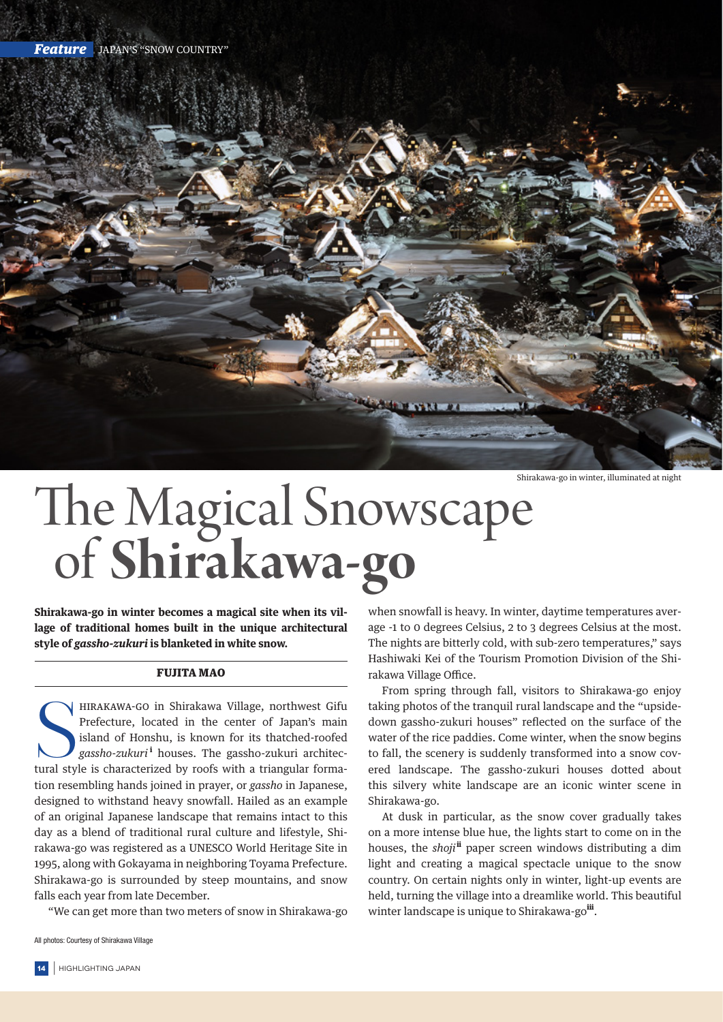

Shirakawa-go in winter, illuminated at night

## The Magical Snowscape of **Shirakawa-go**

**Shirakawa-go in winter becomes a magical site when its village of traditional homes built in the unique architectural style of** *gassho-zukuri* **is blanketed in white snow.**

## FUJITA MAO

HIRAKAWA-GO in Shirakawa Village, northwest Gifu<br>Prefecture, located in the center of Japan's main<br>island of Honshu, is known for its thatched-roofed<br>gassho-zukuri<sup>1</sup> houses. The gassho-zukuri architec-<br>tural style is char **HIRAKAWA-GO in Shirakawa Village, northwest Gifu** Prefecture, located in the center of Japan's main island of Honshu, is known for its thatched-roofed g*assho-zukuri* <sup>i</sup> houses. The gassho-zukuri architection resembling hands joined in prayer, or *gassho* in Japanese, designed to withstand heavy snowfall. Hailed as an example of an original Japanese landscape that remains intact to this day as a blend of traditional rural culture and lifestyle, Shirakawa-go was registered as a UNESCO World Heritage Site in 1995, along with Gokayama in neighboring Toyama Prefecture. Shirakawa-go is surrounded by steep mountains, and snow falls each year from late December.

"We can get more than two meters of snow in Shirakawa-go

All photos: Courtesy of Shirakawa Village

when snowfall is heavy. In winter, daytime temperatures average -1 to 0 degrees Celsius, 2 to 3 degrees Celsius at the most. The nights are bitterly cold, with sub-zero temperatures," says Hashiwaki Kei of the Tourism Promotion Division of the Shirakawa Village Office.

From spring through fall, visitors to Shirakawa-go enjoy taking photos of the tranquil rural landscape and the "upsidedown gassho-zukuri houses" reflected on the surface of the water of the rice paddies. Come winter, when the snow begins to fall, the scenery is suddenly transformed into a snow covered landscape. The gassho-zukuri houses dotted about this silvery white landscape are an iconic winter scene in Shirakawa-go.

At dusk in particular, as the snow cover gradually takes on a more intense blue hue, the lights start to come on in the houses, the *shoji*<sup>ii</sup> paper screen windows distributing a dim light and creating a magical spectacle unique to the snow country. On certain nights only in winter, light-up events are held, turning the village into a dreamlike world. This beautiful winter landscape is unique to Shirakawa-go<sup>iii</sup>.